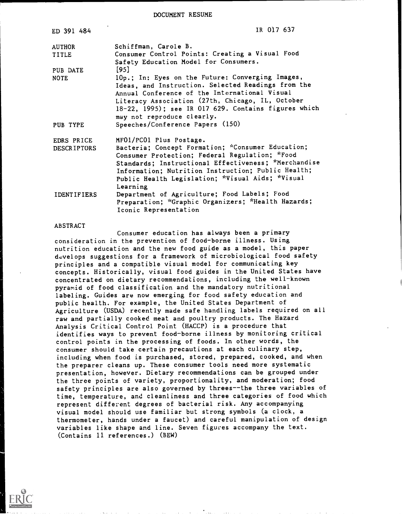DOCUMENT RESUME

| ED 391 484                       | IR 017 637                                                                                                                                                                                                                                                                                                   |
|----------------------------------|--------------------------------------------------------------------------------------------------------------------------------------------------------------------------------------------------------------------------------------------------------------------------------------------------------------|
| <b>AUTHOR</b>                    | Schiffman, Carole B.                                                                                                                                                                                                                                                                                         |
| <b>TITLE</b>                     | Consumer Control Points: Creating a Visual Food<br>Safety Education Model for Consumers.                                                                                                                                                                                                                     |
| PUB DATE                         | $[95]$                                                                                                                                                                                                                                                                                                       |
| <b>NOTE</b>                      | 10p.; In: Eyes on the Future: Converging Images,<br>Ideas, and Instruction. Selected Readings from the<br>Annual Conference of the International Visual<br>Literacy Association (27th, Chicago, IL, October<br>18-22, 1995); see IR 017 629. Contains figures which<br>may not reproduce clearly.            |
| PUB TYPE                         | Speeches/Conference Papers (150)                                                                                                                                                                                                                                                                             |
| EDRS PRICE<br><b>DESCRIPTORS</b> | MF01/PC01 Plus Postage.<br>Bacteria; Concept Formation; *Consumer Education;<br>Consumer Protection; Federal Regulation; *Food<br>Standards; Instructional Effectiveness; *Merchandise<br>Information; Nutrition Instruction; Public Health;<br>Public Health Legislation; *Visual Aids; *Visual<br>Learning |
| <b>IDENTIFIERS</b>               | Department of Agriculture; Food Labels; Food<br>Preparation; *Graphic Organizers; *Health Hazards;<br>Iconic Representation                                                                                                                                                                                  |

#### ABSTRACT

Consumer education has always been a primary consideration in the prevention of food-borne illness. Using nutrition education and the new food guide as a model, this paper develops suggestions for a framework of microbiological food safety principles and a compatible visual model for communicating key concepts. Historically, visual food guides in the United States have concentrated on dietary recommendations, including the well-known pyramid of food classification and the mandatory nutritional labeling. Guides are now emerging for food safety education and public health. For example, the United States Department of Agriculture (USDA) recently made safe handling labels required on all raw and partially cooked meat and poultry products. The Hazard Analysis Critical Control Point (HACCP) is a procedure that identifies ways to prevent food-borne illness by monitoring critical control points in the processing of foods. In other words, the consumer should take certain precautions at each culinary step, including when food is purchased, stored, prepared, cooked, and when the preparer cleans up. These consumer tools need more systematic presentation, however. Dietary recommendations can be grouped under the three points of variety, proportionality, and moderation; food safety principles are also governed by threes--the three variables of time, temperature, and cleanliness and three categories of food which represent different degrees of bacterial risk. Any accompanying visual model should use familiar but strong symbols (a clock, a thermometer, hands under a faucet) and careful manipulation of design variables like shape and line. Seven figures accompany the text. (Contains 11 references.) (BEW)

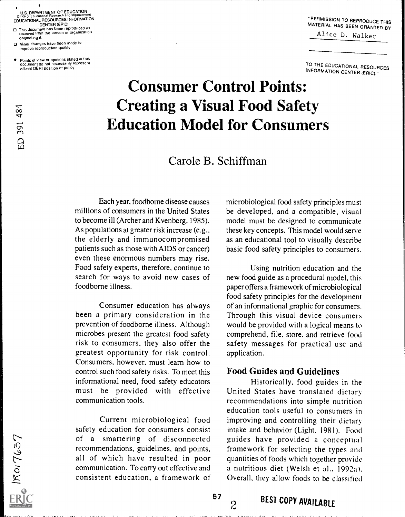U.S. DEPARTMENT OF EDUCATION<br>Office of Educational Research and Improvement Office of Educational Hesearch and Improvement<br>EDUCATIONAL RESOURCES INFORMATION

CENTER (ERIC)<br>O This document has been reproduced as<br>received from the person or organization originating it.

O Minor changes have been made to improve reproduction quality

 $\frac{8}{4}$ 

 $\Box$ 

E IROITES7

Points of view Or opinions stated in this document do not necessarily represent official OERI position or policy

-PERMISSION TO REPRODUCE THIS MATERIAL HAS BEEN GRANTED BY

Alice D. Walker

TO THE EDUCATIONAL RESOURCES INFORMATION CENTER (ERIC)."

## Consumer Control Points: Creating a Visual Food Safety Education Model for Consumers

## Carole B. Schiffman

Each year, foodborne disease causes millions of consumers in the United States to become ill (Archer and Kvenberg, 1985). As populations at greater risk increase (e.g., the elderly and immunocompromised patients such as those with AIDS or cancer) even these enormous numbers may rise. Food safety experts, therefore, continue to search for ways to avoid new cases of foodborne illness.

Consumer education has always been a primary consideration in the prevention of foodborne illness. Although microbes present the greatest food safety risk to consumers, they also offer the greatest opportunity for risk control. Consumers, however, must learn how to control such food safety risks. To meet this informational need, food safety educators must be provided with effective communication tools.

Current microbiological food safety education for consumers consist of a smattering of disconnected recommendations, guidelines, and points, all of which have resulted in poor communication. To carry out effective and consistent education, a framework of

microbiological food safety principles must be developed, and a compatible, visual model must be designed to communicate these key concepts. This model would serve as an educational tool to visually describe basic food safety principles to consumers.

Using nutrition education and the new food guide as a procedural model, this paper offers a framework of microbiological food safety principles for the development of an informational graphic for consumers. Through this visual device consumers would be provided with a logical means to comprehend, file, store. and retrieve food safety messages for practical use and application.

## Food Guides and Guidelines

Historically, food guides in the United States have translated dietary recommendations into simple nutrition education tools useful to consumers in improving and controlling their dietary intake and behavior (Light, 1981). Food guides have provided a conceptual framework for selecting the types and quantities of foods which together provide a nutritious diet (Welsh et al.. 1992a). Overall, they allow foods to be classified

 $57$ <br> $2$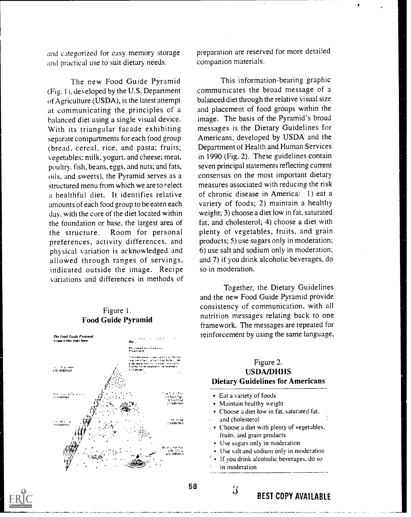and categorized for easy memory storage and practical use to suit dietary needs.

The new Food Guide Pyramid (Fig. I ). developed by the U.S. Department of Agriculture (USDA), is the latest attempt at communicating the principles of a balanced diet using a single visual device. With its triangular facade exhibiting separate compartments for each food group (bread, cereal, rice, and pasta; fruits; vegetables; milk, yogurt, and cheese; meat, poultry, fish, beans, eggs, and nuts; and fats, oils, and sweets), the Pyramid serves as a structured menu from which we are to select a healthful diet. It identifies relative amounts of each food group to be eaten each day, with the core of the diet located within the foundation or base, the largest area of the structure. Room for personal preferences, activity differences, and physical variation is acknowledged and allowed through ranges of servings, indicated outside the image. Recipe variations and differences in methods of

## Figure 1. Food Guide Pyramid

preparation are reserved for more detailed companion materials.

This information-bearing graphic communicates the broad message of a balanced diet through the relative visual size and placement of food groups within the image. The basis of the Pyramid's broad messages is the Dietary Guidelines for Americans, developed by USDA and the Department of Health and Human Services in 1990 (Fig. 2). These guidelines contain seven principal statements reflecting current consensus on the most important dietary measures associated with reducing the risk of chronic disease in America: 1) eat a variety of foods; 2) maintain a healthy weight; 3) choose a diet low in fat, saturated fat, and cholesterol; 4) choose a diet with plenty of vegetables, fruits, and grain products; 5) use sugars only in moderation; 6) use salt and sodium only in moderation; and 7) if you drink alcoholic beverages, do so in moderation.

Together, the Dietary Guidelines and the new Food Guide Pyramid provide consistency of communication, with all nutrition messages relating back to one framework. The messages are repeated for reinforcement by using the same language,



## Figure 2. USDA/DHHS Dietary Guidelines for Americans Eat a variety of foods Maintain healthy weight Choose a diet low in fat. saturated fat, and cholesterol : Choose a diet with plenty of vegetables, fruits, and grain products Use sugars only in moderation

- Use salt and sodium only in moderation
- If you drink alcoholic beverages, do so
- in moderation

 $\beta$  BEST COPY AVAILABLE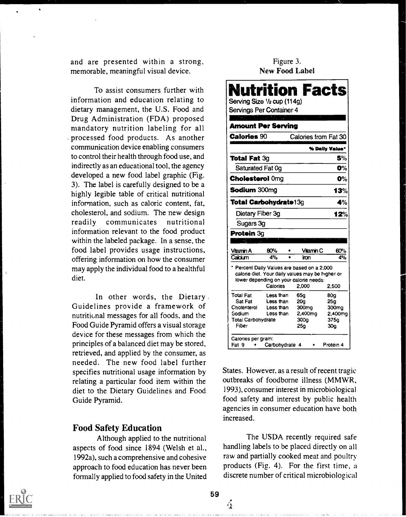and are presented within a strong, memorable, meaningful visual device.

To assist consumers further with information and education relating to dietary management, the U.S. Food and Drug Administration (FDA) proposed mandatory nutrition labeling for all processed food products. As another communication device enabling consumers to control their health through food use, and indirectly as an educational tool, the agency developed a new food label graphic (Fig. 3). The label is carefully designed to be a highly legible table of critical nutritional information, such as caloric content, fat, cholesterol, and sodium. The new design readily communicates nutritional information relevant to the food product within the labeled package. In a sense, the food label provides usage instructions, offering information on how the consumer may apply the individual food to a healthful diet.

In other words, the Dietary. Guidelines provide a framework of nutritional messages for all foods, and the Food Guide Pyramid offers a visual storage device for these messages from which the principles of a balanced diet may be stored, retrieved, and applied by the consumer, as needed. The new food label further specifies nutritional usage information by relating a particular food item within the diet to the Dietary Guidelines and Food Guide Pyramid.

## Food Safety Education

Although applied to the nutritional aspects of food since 1894 (Welsh et al., 1992a), such a comprehensive and cohesive approach to food education has never been formally applied to food safety in the United

## Figure 3. New Food Label

|                           | Servings Per Container 4                                                                                                                              |                      |                   |
|---------------------------|-------------------------------------------------------------------------------------------------------------------------------------------------------|----------------------|-------------------|
|                           |                                                                                                                                                       |                      |                   |
| <b>Amount Per Serving</b> |                                                                                                                                                       |                      |                   |
| <b>Calories 90</b>        |                                                                                                                                                       | Calories from Fat 30 |                   |
|                           |                                                                                                                                                       |                      | % Daily Value*    |
| <b>Total Fat 3g</b>       |                                                                                                                                                       |                      | 5%                |
| Saturated Fat Og          |                                                                                                                                                       |                      | 0%                |
| <b>Cholesterol Omg</b>    |                                                                                                                                                       |                      | O%                |
| <b>Sodium 300mg</b>       |                                                                                                                                                       |                      | 13%               |
| Total Carbohydrate13g     |                                                                                                                                                       |                      | 4%                |
| Dietary Fiber 3g          |                                                                                                                                                       |                      | 12%               |
| Sugars 3g                 |                                                                                                                                                       |                      |                   |
| <b>Protein 3g</b>         |                                                                                                                                                       |                      |                   |
|                           |                                                                                                                                                       |                      |                   |
| Vitamin A                 | 80%                                                                                                                                                   | Vitamin C            | 60%               |
| Calcum                    | 4%                                                                                                                                                    | iron                 | 4%                |
|                           | * Percent Daily Values are based on a 2,000<br>calorie diet. Your daily values may be higher or<br>lower depending on your calorie needs:<br>Calories | 2.000                | 2,500             |
| Total Fat                 | Less than                                                                                                                                             | 65g                  | 80g               |
| Sat Fat                   | Less than                                                                                                                                             | 20 <sub>Q</sub>      | 25g               |
| Cholesterol               | Less than                                                                                                                                             | 300mg                | 300 <sub>mq</sub> |
| Sodium                    | Less than                                                                                                                                             | 2,400mg              | 2,400mg           |
| <b>Total Carbohydrate</b> |                                                                                                                                                       | 300q                 | 375a              |

States. However, as a result of recent tragic outbreaks of foodborne illness (MMWR, 1993), consumer interest in microbiological food safety and interest by public health agencies in consumer education have both increased.

The USDA recently required safe handling labels to be placed directly on all raw and partially cooked meat and poultry products (Fig. 4). For the first time, a discrete number of critical microbiological



59

4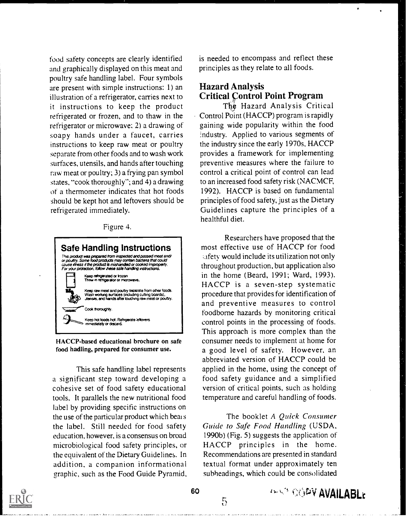food safety concepts are clearly identified and graphically displayed on this meat and poultry safe handling label. Four symbols<br>are present with simple instructions: 1) an **Hazard Analysis** are present with simple instructions: 1) an illustration of a refrigerator, carries next to it instructions to keep the product refrigerated or frozen, and to thaw in the refrigerator or microwave; 2) a drawing of soapy hands under a faucet, carries instructions to keep raw meat or poultry separate from other foods and to wash work surfaces, utensils, and hands after touching raw meat or poultry; 3) a frying pan symbol states, "cook thoroughly"; and 4) a drawing of a thermometer indicates that hot foods should be kept hot and leftovers should be refrigerated immediately.

Figure 4.



HACCP-based educational brochure on safe food hadling, prepared for consumer use.

This safe handling label represents a significant step toward developing a cohesive set of food safety educational tools. It parallels the new nutritional food label by providing specific instructions on the use of the particular product which bears the label. Still needed for food safety education, however, is a consensus on broad microbiological food safety principles, or the equivalent of the Dietary Guidelines. In addition, a companion informational graphic, such as the Food Guide Pyramid. is needed to encompass and reflect these principles as they relate to all foods.

# Critical Control Point Program

The Hazard Analysis Critical Control Point (HACCP) program is rapidly gaining wide popularity within the food :ndustry. Applied to various segments of the industry since the early 1970s. HACCP provides a framework for implementing preventive measures where the failure to control a critical point of control can lead to an increased food safety risk (NACMCF, 1992). HACCP is based on fundamental principles of food safety, just as the Dietary Guidelines capture the principles of a healthful diet.

Researchers have proposed that the most effective use of HACCP for food .afetv would include its utilization not only throughout production, but application also in the home (Beard, 1991; Ward, 1993). HACCP is a seven-step systematic procedure that provides for identification of and preventive measures to control foodborne hazards by monitoring critical control points in the processing of foods. This approach is more complex than the consumer needs to implement at home for a good level of safety. However, an abbreviated version of HACCP could be applied in the home, using the concept of food safety guidance and a simplified version of critical points, such as holding temperature and careful handling of foods.

The booklet A Quick Consumer Guide to Safe Food Handling (USDA, 1990b) (Fig. 5) suggests the application of HACCP principles in the home. Recommendations are presented in standard textual format under approximately ten subheadings, which could be consolidated



5

**AVAILABLE**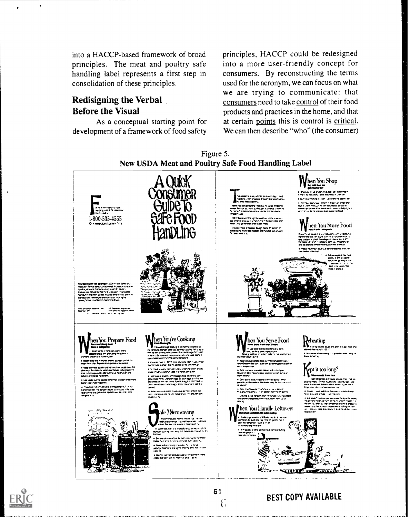into a HACCP-based framework of broad principles. The meat and poultry safe handling label represents a first step in consolidation of these principles.

## Redisigning the Verbal Before the Visual

As a conceptual starting point for development of a framework of food safety

principles, HACCP could be redesigned into a more user-friendly concept for consumers. By reconstructing the terms used for the acronym, we can focus on what we are trying to communicate: that consumers need to take control of their food products and practices in the home, and that at certain points this is control is critical. We can then describe "who" (the consumer)



61

 $\mathcal{C}$ 





## BEST COPY AVAILABLE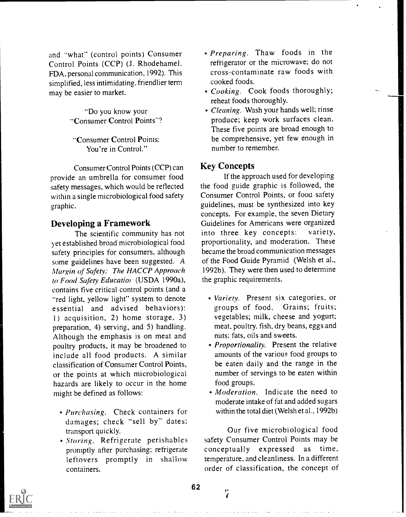and "what" (control points) Consumer Control Points (CCP) (J. Rhodehamel, FDA, personal communication, 1992). This simplified, less intimidating, friendlier term may be easier to market.

> "Do you know your "Consumer Control Points"?

"Consumer Control Points: You're in Control."

Consumer Control Points (CCP) can provide an umbrella for consumer food safety messages, which would be reflected within a single microbiological food safety graphic.

## Developing a Framework

The scientific community has not yet established broad microbiological food safety principles for consumers, although some guidelines have been suggested. A Margin of Safety: The HACCP Approach to Food Safety Educatior (USDA 1990a), contains five critical control points (and a "red light, yellow light" system to denote essential and advised behaviors): 1) acquisition, 2) home storage, 3) preparation, 4) serving, and 5) handling. Although the emphasis is on meat and poultry products, it may be broadened to include all food products. A similar classification of Consumer Control Points, or the points at which microbiological hazards are likely to occur in the home might be defined as follows:

- Purchasing. Check containers for damages; check "sell by" dates: transport quickly.
- Storing. Refrigerate perishables promptly after purchasing; refrigerate leftovers promptly in shallow containers.
- Preparing. Thaw foods in the refrigerator or the microwave; do not cross-contaminate raw foods with cooked foods.
- Cooking. Cook foods thoroughly; reheat foods thoroughly.
- Cleaning. Wash your hands well; rinse produce; keep work surfaces clean. These five points are broad enough to be comprehensive, yet few enough in number to remember.

## Key Concepts

If the approach used for developing the food guide graphic is followed, the Consumer Control Points, or food safety guidelines, must be synthesized into key concepts. For example, the seven Dietary Guidelines for Americans were organized<br>into three key concepts: variety, into three key concepts: proportionality, and moderation. These became the broad communication messages of the Food Guide Pyramid (Welsh et al., 1992b). They were then used to determine the graphic requirements.

- Variety. Present six categories, or groups of food. Grains; fruits; vegetables; milk, cheese and yogurt; meat, poultry, fish, dry beans, eggs and nuts; fats, oils and sweets.
- Proportionality. Present the relative amounts of the various food groups to be eaten daily and the range in the number of servings to be eaten within food groups.
- Moderation. Indicate the need to moderate intake of fat and added sugars within the total diet (Welsh et al., 1992b)

Our five microbiological food safety Consumer Control Points may be conceptually expressed as time, temperature, and cleanliness. In a different order of classification, the concept of



62

p.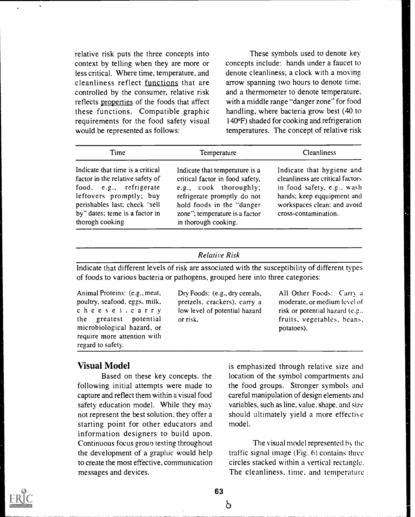relative risk puts the three concepts into context by telling when they are more or less critical. Where time, temperature, and cleanliness reflect functions that are controlled by the consumer, relative risk reflects properties of the foods that affect these functions. Compatible graphic requirements for the food safety visual would be represented as follows:

These symbols used to denote key concepts include: hands under a faucet to denote cleanliness; a clock with a moving arrow spanning two hours to denote time: and a thermometer to denote temperature. with a middle range "danger zone" for food handling, where bacteria grow best (40 to I 40°F) shaded for cooking and refrigeration temperatures. The concept of relative risk

| Time                                                                                                                                                                                                             | Temperature                                                                                                                                                                                                       | <b>Cleanliness</b>                                                                                                                                                               |
|------------------------------------------------------------------------------------------------------------------------------------------------------------------------------------------------------------------|-------------------------------------------------------------------------------------------------------------------------------------------------------------------------------------------------------------------|----------------------------------------------------------------------------------------------------------------------------------------------------------------------------------|
| Indicate that time is a critical<br>factor in the relative safety of<br>food, e.g., refrigerate<br>leftovers promptly; buy<br>perishables last; check "sell<br>by" dates; teme is a factor in<br>therogh cooking | Indicate that temperature is a<br>critical factor in food safety,<br>e.g., cook thoroughly;<br>refrigerate promptly do not<br>hold foods in the "danger<br>zone"; temperature is a factor<br>in thorough cooking. | Indicate that hygiene and<br>cleanliness are critical factors<br>in food safety, e.g., wash<br>hands; keep eqquipment and<br>workspaces clean; and avoid<br>cross-contamination. |

### Relative Risk

Indicate that different levels of risk are associated with the susceptibility of different types of foods to various bacteria or pathogens, grouped here into three categories:

Animal Proteins: (e.g., meat, poultry, seafood, eggs. milk, cheese ).carry the greatest potential microbiological hazard, or require more attention with regard to safety.

Dry Foods: (e.g., dry cereals, pretzels, crackers), carry a low level of potential hazard or risk.

All Other Foods: Carry a moderate, or medium level of risk or potential hazard (e.g.. fruits, vegetables. beans. potatoes).

## Visual Model

Based on these key concepts, the following initial attempts were made to capture and reflect them within a visual food safety education model. While they may not represent the best solution, they offer a starting point for other educators and information designers to build upon. Continuous focus groun testing throughout the development of a graphic would help to create the most effective, communication messages and devices.

is emphasized through relative size and location of the symbol compartments and the food groups. Stronger symbols and careful manipulation of design elements and variables, such as line, value, shape, and size should ultimately yield a more effective model.

The visual model represented by the traffic signal image (Fig. 6) contains three circles stacked within a vertical rectangle. The cleanliness, time, and temperature



63

ბ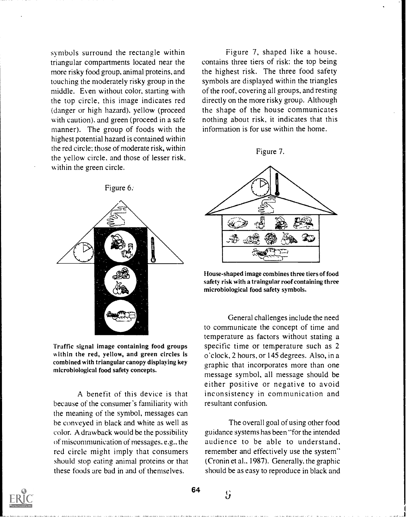symbols surround the rectangle within triangular compartments located near the more risky food group, animal proteins, and touching the moderately risky group in the middle. Even without color, starting with the top circle, this image indicates red (danger or high hazard), yellow (proceed with caution), and green (proceed in a safe manner). The group of foods with the highest potential hazard is contained within the red circle; those of moderate risk, within the yellow circle, and those of lesser risk, within the green circle.



Traffic signal image containing food groups within the red, yellow, and green circles is combined with triangular canopy displaying key microbiological food safety concepts.

A benefit of this device is that because of the consumer's familiarity with the meaning of the symbol, messages can be conveyed in black and white as well as color. A drawback would be the possibility of miscommunication of messaees. e.g.. the red circle might imply that consumers should stop eating animal proteins or that these foods are bad in and of themselves.

Figure 7, shaped like a house, contains three tiers of risk: the top being the highest risk. The three food safety symbols are displayed within the triangles of the roof, covering all groups, and resting directly on the more risky group. Although the shape of the house communicates nothing about risk, it indicates that this information is for use within the home.

#### Figure 7.



House-shaped image combines three tiers of food safety risk with a traingular roof containing three microbiological food safety symbols.

General challenges include the need to communicate the concept of time and temperature as factors without stating a specific time or temperature such as 2 o'clock, 2 hours, or 145 degrees. Also, in a graphic that incorporates more than one message symbol, all message should be either positive or negative to avoid inconsistency in communication and resultant confusion.

The overall goal of using other food guidance systems has been "for the intended audience to be able to understand, remember and effectively use the system" (Cronin et al., 1987). Generally, the graphic should be as easy to reproduce in black and